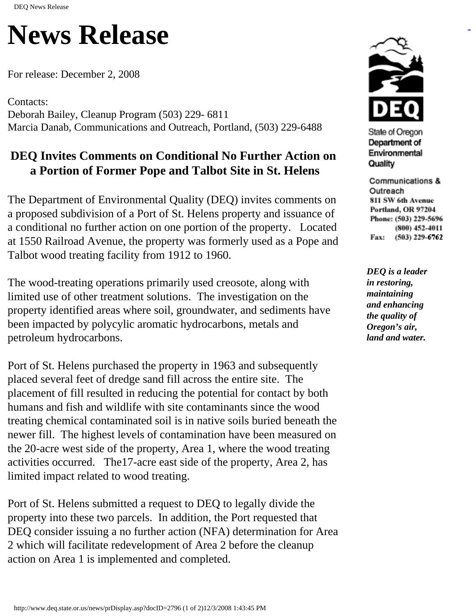## **News Release**

For release: December 2, 2008

Contacts: Deborah Bailey, Cleanup Program (503) 229- 6811 Marcia Danab, Communications and Outreach, Portland, (503) 229-6488

## **DEQ Invites Comments on Conditional No Further Action on a Portion of Former Pope and Talbot Site in St. Helens**

The Department of Environmental Quality (DEQ) invites comments on a proposed subdivision of a Port of St. Helens property and issuance of a conditional no further action on one portion of the property. Located at 1550 Railroad Avenue, the property was formerly used as a Pope and Talbot wood treating facility from 1912 to 1960.

The wood-treating operations primarily used creosote, along with limited use of other treatment solutions. The investigation on the property identified areas where soil, groundwater, and sediments have been impacted by polycylic aromatic hydrocarbons, metals and petroleum hydrocarbons.

Port of St. Helens purchased the property in 1963 and subsequently placed several feet of dredge sand fill across the entire site. The placement of fill resulted in reducing the potential for contact by both humans and fish and wildlife with site contaminants since the wood treating chemical contaminated soil is in native soils buried beneath the newer fill. The highest levels of contamination have been measured on the 20-acre west side of the property, Area 1, where the wood treating activities occurred. The17-acre east side of the property, Area 2, has limited impact related to wood treating.

Port of St. Helens submitted a request to DEQ to legally divide the property into these two parcels. In addition, the Port requested that DEQ consider issuing a no further action (NFA) determination for Area 2 which will facilitate redevelopment of Area 2 before the cleanup action on Area 1 is implemented and completed.



State of Oregon Department of Environmental Quality

Communications & Outreach 811 SW 6th Avenue Portland, OR 97204 Phone: (503) 229-5696 (800) 452-4011 Fax: (503) 229-6762

*DEQ is a leader in restoring, maintaining and enhancing the quality of Oregon's air, land and water.*